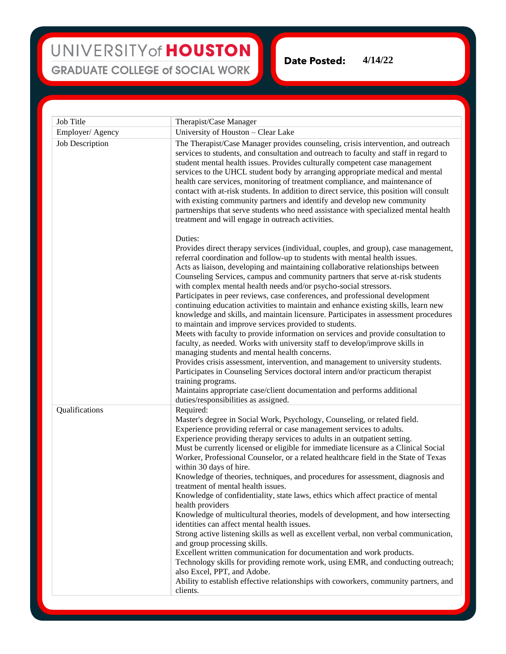## UNIVERSITY of HOUSTON **GRADUATE COLLEGE of SOCIAL WORK**

**Date Posted: 4/14/22**

| Job Title       | Therapist/Case Manager                                                                                                                                                                                                                                                                                                                                                                                                                                                                                                                                                                                                                                                                                                                                                                                                                                                                                                                                                                                                                                                                                                                                                                                                                                                                   |
|-----------------|------------------------------------------------------------------------------------------------------------------------------------------------------------------------------------------------------------------------------------------------------------------------------------------------------------------------------------------------------------------------------------------------------------------------------------------------------------------------------------------------------------------------------------------------------------------------------------------------------------------------------------------------------------------------------------------------------------------------------------------------------------------------------------------------------------------------------------------------------------------------------------------------------------------------------------------------------------------------------------------------------------------------------------------------------------------------------------------------------------------------------------------------------------------------------------------------------------------------------------------------------------------------------------------|
| Employer/Agency | University of Houston - Clear Lake                                                                                                                                                                                                                                                                                                                                                                                                                                                                                                                                                                                                                                                                                                                                                                                                                                                                                                                                                                                                                                                                                                                                                                                                                                                       |
| Job Description | The Therapist/Case Manager provides counseling, crisis intervention, and outreach<br>services to students, and consultation and outreach to faculty and staff in regard to<br>student mental health issues. Provides culturally competent case management<br>services to the UHCL student body by arranging appropriate medical and mental<br>health care services, monitoring of treatment compliance, and maintenance of<br>contact with at-risk students. In addition to direct service, this position will consult<br>with existing community partners and identify and develop new community<br>partnerships that serve students who need assistance with specialized mental health<br>treatment and will engage in outreach activities.                                                                                                                                                                                                                                                                                                                                                                                                                                                                                                                                            |
|                 | Duties:<br>Provides direct therapy services (individual, couples, and group), case management,<br>referral coordination and follow-up to students with mental health issues.<br>Acts as liaison, developing and maintaining collaborative relationships between<br>Counseling Services, campus and community partners that serve at-risk students<br>with complex mental health needs and/or psycho-social stressors.<br>Participates in peer reviews, case conferences, and professional development<br>continuing education activities to maintain and enhance existing skills, learn new<br>knowledge and skills, and maintain licensure. Participates in assessment procedures<br>to maintain and improve services provided to students.<br>Meets with faculty to provide information on services and provide consultation to<br>faculty, as needed. Works with university staff to develop/improve skills in<br>managing students and mental health concerns.<br>Provides crisis assessment, intervention, and management to university students.<br>Participates in Counseling Services doctoral intern and/or practicum therapist<br>training programs.<br>Maintains appropriate case/client documentation and performs additional                                                |
| Qualifications  | duties/responsibilities as assigned.<br>Required:<br>Master's degree in Social Work, Psychology, Counseling, or related field.<br>Experience providing referral or case management services to adults.<br>Experience providing therapy services to adults in an outpatient setting.<br>Must be currently licensed or eligible for immediate licensure as a Clinical Social<br>Worker, Professional Counselor, or a related healthcare field in the State of Texas<br>within 30 days of hire.<br>Knowledge of theories, techniques, and procedures for assessment, diagnosis and<br>treatment of mental health issues.<br>Knowledge of confidentiality, state laws, ethics which affect practice of mental<br>health providers<br>Knowledge of multicultural theories, models of development, and how intersecting<br>identities can affect mental health issues.<br>Strong active listening skills as well as excellent verbal, non verbal communication,<br>and group processing skills.<br>Excellent written communication for documentation and work products.<br>Technology skills for providing remote work, using EMR, and conducting outreach;<br>also Excel, PPT, and Adobe.<br>Ability to establish effective relationships with coworkers, community partners, and<br>clients. |